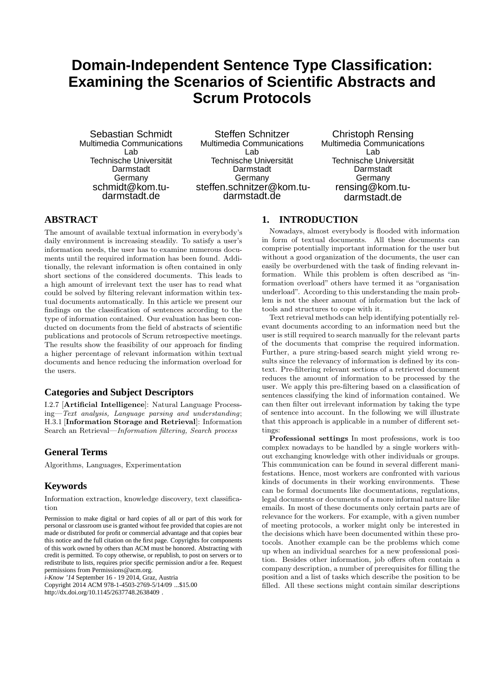# **Domain-Independent Sentence Type Classification: Examining the Scenarios of Scientific Abstracts and Scrum Protocols**

Sebastian Schmidt Multimedia Communications Lab Technische Universität Darmstadt Germany schmidt@kom.tudarmstadt.de

Steffen Schnitzer Multimedia Communications Lab Technische Universität Darmstadt Germany steffen.schnitzer@kom.tudarmstadt.de

Christoph Rensing Multimedia Communications Lab Technische Universität Darmstadt Germany rensing@kom.tudarmstadt.de

# **ABSTRACT**

The amount of available textual information in everybody's daily environment is increasing steadily. To satisfy a user's information needs, the user has to examine numerous documents until the required information has been found. Additionally, the relevant information is often contained in only short sections of the considered documents. This leads to a high amount of irrelevant text the user has to read what could be solved by filtering relevant information within textual documents automatically. In this article we present our findings on the classification of sentences according to the type of information contained. Our evaluation has been conducted on documents from the field of abstracts of scientific publications and protocols of Scrum retrospective meetings. The results show the feasibility of our approach for finding a higher percentage of relevant information within textual documents and hence reducing the information overload for the users.

### **Categories and Subject Descriptors**

I.2.7 [Artificial Intelligence]: Natural Language Processing—*Text analysis, Language parsing and understanding*; H.3.1 [Information Storage and Retrieval]: Information Search an Retrieval—*Information filtering, Search process*

## **General Terms**

Algorithms, Languages, Experimentation

## **Keywords**

Information extraction, knowledge discovery, text classification

Permission to make digital or hard copies of all or part of this work for personal or classroom use is granted without fee provided that copies are not made or distributed for profit or commercial advantage and that copies bear this notice and the full citation on the first page. Copyrights for components of this work owned by others than ACM must be honored. Abstracting with credit is permitted. To copy otherwise, or republish, to post on servers or to redistribute to lists, requires prior specific permission and/or a fee. Request permissions from Permissions@acm.org.

*i-Know '14* September 16 - 19 2014, Graz, Austria

Copyright 2014 ACM 978-1-4503-2769-5/14/09 ...\$15.00 http://dx.doi.org/10.1145/2637748.2638409 .

#### **1. INTRODUCTION**

Nowadays, almost everybody is flooded with information in form of textual documents. All these documents can comprise potentially important information for the user but without a good organization of the documents, the user can easily be overburdened with the task of finding relevant information. While this problem is often described as "information overload" others have termed it as "organisation underload". According to this understanding the main problem is not the sheer amount of information but the lack of tools and structures to cope with it.

Text retrieval methods can help identifying potentially relevant documents according to an information need but the user is still required to search manually for the relevant parts of the documents that comprise the required information. Further, a pure string-based search might yield wrong results since the relevancy of information is defined by its context. Pre-filtering relevant sections of a retrieved document reduces the amount of information to be processed by the user. We apply this pre-filtering based on a classification of sentences classifying the kind of information contained. We can then filter out irrelevant information by taking the type of sentence into account. In the following we will illustrate that this approach is applicable in a number of different settings:

Professional settings In most professions, work is too complex nowadays to be handled by a single workers without exchanging knowledge with other individuals or groups. This communication can be found in several different manifestations. Hence, most workers are confronted with various kinds of documents in their working environments. These can be formal documents like documentations, regulations, legal documents or documents of a more informal nature like emails. In most of these documents only certain parts are of relevance for the workers. For example, with a given number of meeting protocols, a worker might only be interested in the decisions which have been documented within these protocols. Another example can be the problems which come up when an individual searches for a new professional position. Besides other information, job offers often contain a company description, a number of prerequisites for filling the position and a list of tasks which describe the position to be filled. All these sections might contain similar descriptions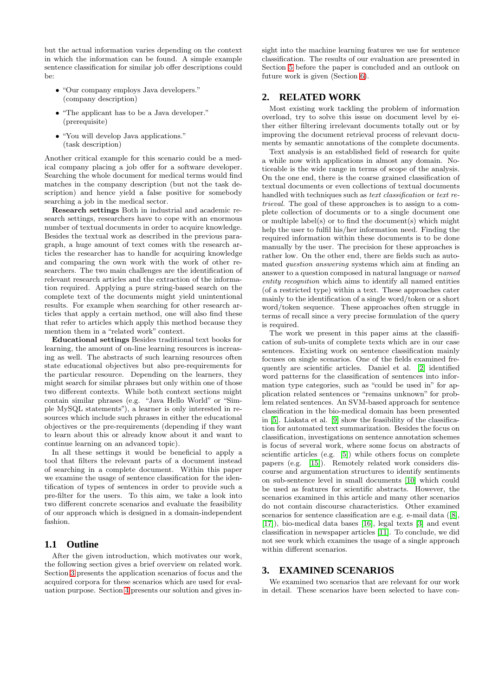but the actual information varies depending on the context in which the information can be found. A simple example sentence classification for similar job offer descriptions could be:

- "Our company employs Java developers." (company description)
- "The applicant has to be a Java developer." (prerequisite)
- "You will develop Java applications." (task description)

Another critical example for this scenario could be a medical company placing a job offer for a software developer. Searching the whole document for medical terms would find matches in the company description (but not the task description) and hence yield a false positive for somebody searching a job in the medical sector.

Research settings Both in industrial and academic research settings, researchers have to cope with an enormous number of textual documents in order to acquire knowledge. Besides the textual work as described in the previous paragraph, a huge amount of text comes with the research articles the researcher has to handle for acquiring knowledge and comparing the own work with the work of other researchers. The two main challenges are the identification of relevant research articles and the extraction of the information required. Applying a pure string-based search on the complete text of the documents might yield unintentional results. For example when searching for other research articles that apply a certain method, one will also find these that refer to articles which apply this method because they mention them in a "related work" context.

Educational settings Besides traditional text books for learning, the amount of on-line learning resources is increasing as well. The abstracts of such learning resources often state educational objectives but also pre-requirements for the particular resource. Depending on the learners, they might search for similar phrases but only within one of those two different contexts. While both context sections might contain similar phrases (e.g. "Java Hello World" or "Simple MySQL statements"), a learner is only interested in resources which include such phrases in either the educational objectives or the pre-requirements (depending if they want to learn about this or already know about it and want to continue learning on an advanced topic).

In all these settings it would be beneficial to apply a tool that filters the relevant parts of a document instead of searching in a complete document. Within this paper we examine the usage of sentence classification for the identification of types of sentences in order to provide such a pre-filter for the users. To this aim, we take a look into two different concrete scenarios and evaluate the feasibility of our approach which is designed in a domain-independent fashion.

## **1.1 Outline**

After the given introduction, which motivates our work, the following section gives a brief overview on related work. Section [3](#page-1-0) presents the application scenarios of focus and the acquired corpora for these scenarios which are used for evaluation purpose. Section [4](#page-3-0) presents our solution and gives in-

sight into the machine learning features we use for sentence classification. The results of our evaluation are presented in Section [5](#page-4-0) before the paper is concluded and an outlook on future work is given (Section [6\)](#page-6-0).

## **2. RELATED WORK**

Most existing work tackling the problem of information overload, try to solve this issue on document level by either either filtering irrelevant documents totally out or by improving the document retrieval process of relevant documents by semantic annotations of the complete documents.

Text analysis is an established field of research for quite a while now with applications in almost any domain. Noticeable is the wide range in terms of scope of the analysis. On the one end, there is the coarse grained classification of textual documents or even collections of textual documents handled with techniques such as *text classification* or *text retrieval*. The goal of these approaches is to assign to a complete collection of documents or to a single document one or multiple label(s) or to find the document(s) which might help the user to fulfil his/her information need. Finding the required information within these documents is to be done manually by the user. The precision for these approaches is rather low. On the other end, there are fields such as automated *question answering* systems which aim at finding an answer to a question composed in natural language or *named entity recognition* which aims to identify all named entities (of a restricted type) within a text. These approaches cater mainly to the identification of a single word/token or a short word/token sequence. These approaches often struggle in terms of recall since a very precise formulation of the query is required.

The work we present in this paper aims at the classification of sub-units of complete texts which are in our case sentences. Existing work on sentence classification mainly focuses on single scenarios. One of the fields examined frequently are scientific articles. Daniel et al. [\[2\]](#page-6-1) identified word patterns for the classification of sentences into information type categories, such as "could be used in" for application related sentences or "remains unknown" for problem related sentences. An SVM-based approach for sentence classification in the bio-medical domain has been presented in [\[5\]](#page-6-2). Liakata et al. [\[9\]](#page-6-3) show the feasibility of the classification for automated text summarization. Besides the focus on classification, investigations on sentence annotation schemes is focus of several work, where some focus on abstracts of scientific articles (e.g. [\[5\]](#page-6-2)) while others focus on complete papers (e.g. [\[15\]](#page-7-0)). Remotely related work considers discourse and argumentation structures to identify sentiments on sub-sentence level in small documents [\[10\]](#page-7-1) which could be used as features for scientific abstracts. However, the scenarios examined in this article and many other scenarios do not contain discourse characteristics. Other examined scenarios for sentence classification are e.g. e-mail data ([\[8\]](#page-6-4), [\[17\]](#page-7-2)), bio-medical data bases [\[16\]](#page-7-3), legal texts [\[3\]](#page-6-5) and event classification in newspaper articles [\[11\]](#page-7-4). To conclude, we did not see work which examines the usage of a single approach within different scenarios.

## <span id="page-1-0"></span>**3. EXAMINED SCENARIOS**

We examined two scenarios that are relevant for our work in detail. These scenarios have been selected to have con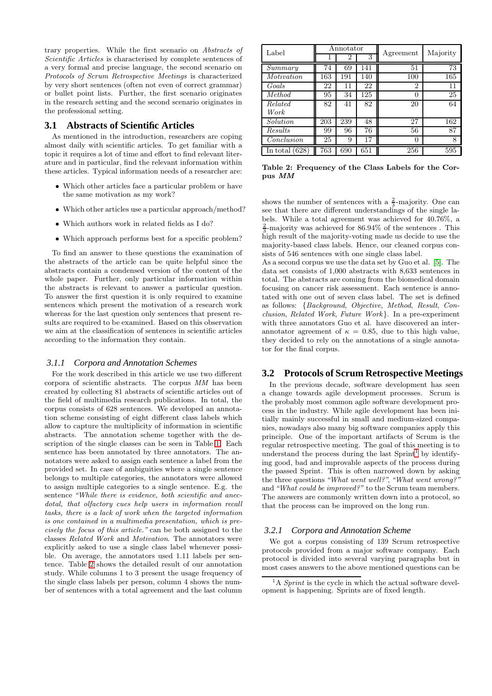trary properties. While the first scenario on *Abstracts of Scientific Articles* is characterised by complete sentences of a very formal and precise language, the second scenario on *Protocols of Scrum Retrospective Meetings* is characterized by very short sentences (often not even of correct grammar) or bullet point lists. Further, the first scenario originates in the research setting and the second scenario originates in the professional setting.

## **3.1 Abstracts of Scientific Articles**

As mentioned in the introduction, researchers are coping almost daily with scientific articles. To get familiar with a topic it requires a lot of time and effort to find relevant literature and in particular, find the relevant information within these articles. Typical information needs of a researcher are:

- Which other articles face a particular problem or have the same motivation as my work?
- Which other articles use a particular approach/method?
- Which authors work in related fields as I do?
- Which approach performs best for a specific problem?

To find an answer to these questions the examination of the abstracts of the article can be quite helpful since the abstracts contain a condensed version of the content of the whole paper. Further, only particular information within the abstracts is relevant to answer a particular question. To answer the first question it is only required to examine sentences which present the motivation of a research work whereas for the last question only sentences that present results are required to be examined. Based on this observation we aim at the classification of sentences in scientific articles according to the information they contain.

#### *3.1.1 Corpora and Annotation Schemes*

For the work described in this article we use two different corpora of scientific abstracts. The corpus *MM* has been created by collecting 81 abstracts of scientific articles out of the field of multimedia research publications. In total, the corpus consists of 628 sentences. We developed an annotation scheme consisting of eight different class labels which allow to capture the multiplicity of information in scientific abstracts. The annotation scheme together with the description of the single classes can be seen in Table [1.](#page-3-1) Each sentence has been annotated by three annotators. The annotators were asked to assign each sentence a label from the provided set. In case of ambiguities where a single sentence belongs to multiple categories, the annotators were allowed to assign multiple categories to a single sentence. E.g. the sentence *"While there is evidence, both scientific and anecdotal, that olfactory cues help users in information recall tasks, there is a lack of work when the targeted information is one contained in a multimedia presentation, which is precisely the focus of this article."* can be both assigned to the classes *Related Work* and *Motivation*. The annotators were explicitly asked to use a single class label whenever possible. On average, the annotators used 1.11 labels per sentence. Table [2](#page-2-0) shows the detailed result of our annotation study. While columns 1 to 3 present the usage frequency of the single class labels per person, column 4 shows the number of sentences with a total agreement and the last column

| Label                |     | Annotator |     | Agreement | Majority |  |
|----------------------|-----|-----------|-----|-----------|----------|--|
|                      |     |           | 3   |           |          |  |
| $\overline{Summary}$ | 74  | 69        | 141 | 51        | 73       |  |
| Motivation           | 163 | 191       | 140 | 100       | 165      |  |
| Goals                | 22  | 11        | 22  | 2         | 11       |  |
| Method               | 95  | 34        | 125 | $\theta$  | 25       |  |
| Related              | 82  | 41        | 82  | 20        | 64       |  |
| Work                 |     |           |     |           |          |  |
| Solution             | 203 | 239       | 48  | 27        | 162      |  |
| Results              | 99  | 96        | 76  | 56        | 87       |  |
| Conclusion           | 25  | 9         | 17  | 0         | 8        |  |
| In total $(628)$     | 763 | 690       | 651 | 256       | 595      |  |

<span id="page-2-0"></span>Table 2: Frequency of the Class Labels for the Corpus MM

shows the number of sentences with a  $\frac{2}{3}$ -majority. One can see that there are different understandings of the single labels. While a total agreement was achieved for 40.76%, a  $\frac{2}{3}$ -majority was achieved for 86.94% of the sentences. This high result of the majority-voting made us decide to use the majority-based class labels. Hence, our cleaned corpus consists of 546 sentences with one single class label.

As a second corpus we use the data set by Guo et al. [\[5\]](#page-6-2). The data set consists of 1,000 abstracts with 8,633 sentences in total. The abstracts are coming from the biomedical domain focusing on cancer risk assessment. Each sentence is annotated with one out of seven class label. The set is defined as follows: {*Background*, *Objective*, *Method*, *Result*, *Conclusion*, *Related Work*, *Future Work*}. In a pre-experiment with three annotators Guo et al. have discovered an interannotator agreement of  $\kappa = 0.85$ , due to this high value, they decided to rely on the annotations of a single annotator for the final corpus.

#### **3.2 Protocols of Scrum Retrospective Meetings**

In the previous decade, software development has seen a change towards agile development processes. Scrum is the probably most common agile software development process in the industry. While agile development has been initially mainly successful in small and medium-sized companies, nowadays also many big software companies apply this principle. One of the important artifacts of Scrum is the regular retrospective meeting. The goal of this meeting is to understand the process during the last  $Sprint<sup>1</sup>$  by identifying good, bad and improvable aspects of the process during the passed Sprint. This is often narrowed down by asking the three questions *"What went well?"*, *"What went wrong?"* and*"What could be improved?"* to the Scrum team members. The answers are commonly written down into a protocol, so that the process can be improved on the long run.

#### *3.2.1 Corpora and Annotation Scheme*

We got a corpus consisting of 139 Scrum retrospective protocols provided from a major software company. Each protocol is divided into several varying paragraphs but in most cases answers to the above mentioned questions can be

<sup>&</sup>lt;sup>1</sup>A *Sprint* is the cycle in which the actual software development is happening. Sprints are of fixed length.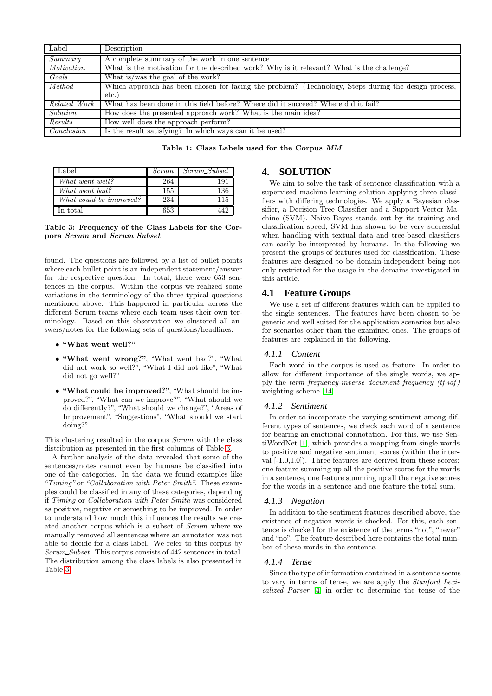| Label        | Description                                                                                          |
|--------------|------------------------------------------------------------------------------------------------------|
| Summary      | A complete summary of the work in one sentence                                                       |
| Motivation   | What is the motivation for the described work? Why is it relevant? What is the challenge?            |
| Goals        | What is/was the goal of the work?                                                                    |
| Method       | Which approach has been chosen for facing the problem? (Technology, Steps during the design process, |
|              | etc.                                                                                                 |
| Related Work | What has been done in this field before? Where did it succeed? Where did it fail?                    |
| Solution     | How does the presented approach work? What is the main idea?                                         |
| Results      | How well does the approach perform?                                                                  |
| Conclusion   | Is the result satisfying? In which ways can it be used?                                              |

<span id="page-3-1"></span>Table 1: Class Labels used for the Corpus MM

| Label                   | Scrum | $Scrum\_Subset$ |
|-------------------------|-------|-----------------|
| What went well?         | 264   | 191             |
| What went bad?          | 155   | 136             |
| What could be improved? | 234   | 115             |
| In total                | 653   | 442             |

<span id="page-3-2"></span>Table 3: Frequency of the Class Labels for the Corpora Scrum and Scrum Subset

found. The questions are followed by a list of bullet points where each bullet point is an independent statement/answer for the respective question. In total, there were 653 sentences in the corpus. Within the corpus we realized some variations in the terminology of the three typical questions mentioned above. This happened in particular across the different Scrum teams where each team uses their own terminology. Based on this observation we clustered all answers/notes for the following sets of questions/headlines:

- "What went well?"
- "What went wrong?", "What went bad?", "What did not work so well?", "What I did not like", "What did not go well?"
- "What could be improved?", "What should be improved?", "What can we improve?", "What should we do differently?", "What should we change?", "Areas of Improvement", "Suggestions", "What should we start doing?"

This clustering resulted in the corpus *Scrum* with the class distribution as presented in the first columns of Table [3.](#page-3-2)

A further analysis of the data revealed that some of the sentences/notes cannot even by humans be classified into one of the categories. In the data we found examples like *"Timing"* or *"Collaboration with Peter Smith"*. These examples could be classified in any of these categories, depending if *Timing* or *Collaboration with Peter Smith* was considered as positive, negative or something to be improved. In order to understand how much this influences the results we created another corpus which is a subset of *Scrum* where we manually removed all sentences where an annotator was not able to decide for a class label. We refer to this corpus by *Scrum Subset*. This corpus consists of 442 sentences in total. The distribution among the class labels is also presented in Table [3.](#page-3-2)

# <span id="page-3-0"></span>**4. SOLUTION**

We aim to solve the task of sentence classification with a supervised machine learning solution applying three classifiers with differing technologies. We apply a Bayesian classifier, a Decision Tree Classifier and a Support Vector Machine (SVM). Naive Bayes stands out by its training and classification speed, SVM has shown to be very successful when handling with textual data and tree-based classifiers can easily be interpreted by humans. In the following we present the groups of features used for classification. These features are designed to be domain-independent being not only restricted for the usage in the domains investigated in this article.

# **4.1 Feature Groups**

We use a set of different features which can be applied to the single sentences. The features have been chosen to be generic and well suited for the application scenarios but also for scenarios other than the examined ones. The groups of features are explained in the following.

# *4.1.1 Content*

Each word in the corpus is used as feature. In order to allow for different importance of the single words, we apply the *term frequency-inverse document frequency (tf-idf )* weighting scheme [\[14\]](#page-7-5).

## *4.1.2 Sentiment*

In order to incorporate the varying sentiment among different types of sentences, we check each word of a sentence for bearing an emotional connotation. For this, we use SentiWordNet [\[1\]](#page-6-6), which provides a mapping from single words to positive and negative sentiment scores (within the interval [-1.0,1.0]). Three features are derived from these scores: one feature summing up all the positive scores for the words in a sentence, one feature summing up all the negative scores for the words in a sentence and one feature the total sum.

## *4.1.3 Negation*

In addition to the sentiment features described above, the existence of negation words is checked. For this, each sentence is checked for the existence of the terms "not", "never" and "no". The feature described here contains the total number of these words in the sentence.

## *4.1.4 Tense*

Since the type of information contained in a sentence seems to vary in terms of tense, we are apply the *Stanford Lexicalized Parser* [\[4\]](#page-6-7) in order to determine the tense of the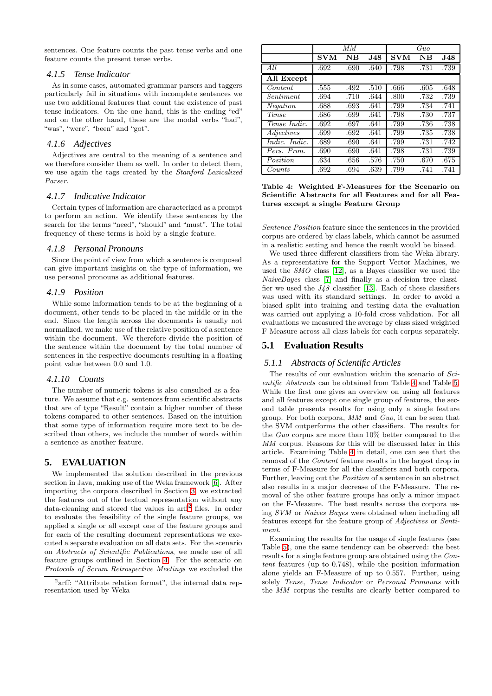sentences. One feature counts the past tense verbs and one feature counts the present tense verbs.

#### *4.1.5 Tense Indicator*

As in some cases, automated grammar parsers and taggers particularly fail in situations with incomplete sentences we use two additional features that count the existence of past tense indicators. On the one hand, this is the ending "ed" and on the other hand, these are the modal verbs "had", "was", "were", "been" and "got".

#### *4.1.6 Adjectives*

Adjectives are central to the meaning of a sentence and we therefore consider them as well. In order to detect them, we use again the tags created by the *Stanford Lexicalized Parser*.

#### *4.1.7 Indicative Indicator*

Certain types of information are characterized as a prompt to perform an action. We identify these sentences by the search for the terms "need", "should" and "must". The total frequency of these terms is hold by a single feature.

#### *4.1.8 Personal Pronouns*

Since the point of view from which a sentence is composed can give important insights on the type of information, we use personal pronouns as additional features.

#### *4.1.9 Position*

While some information tends to be at the beginning of a document, other tends to be placed in the middle or in the end. Since the length across the documents is usually not normalized, we make use of the relative position of a sentence within the document. We therefore divide the position of the sentence within the document by the total number of sentences in the respective documents resulting in a floating point value between 0.0 and 1.0.

#### *4.1.10 Counts*

The number of numeric tokens is also consulted as a feature. We assume that e.g. sentences from scientific abstracts that are of type "Result" contain a higher number of these tokens compared to other sentences. Based on the intuition that some type of information require more text to be described than others, we include the number of words within a sentence as another feature.

## <span id="page-4-0"></span>**5. EVALUATION**

We implemented the solution described in the previous section in Java, making use of the Weka framework [\[6\]](#page-6-8). After importing the corpora described in Section [3,](#page-1-0) we extracted the features out of the textual representation without any data-cleaning and stored the values in arff<sup>2</sup> files. In order to evaluate the feasibility of the single feature groups, we applied a single or all except one of the feature groups and for each of the resulting document representations we executed a separate evaluation on all data sets. For the scenario on *Abstracts of Scientific Publications*, we made use of all feature groups outlined in Section [4.](#page-3-0) For the scenario on *Protocols of Scrum Retrospective Meetings* we excluded the

|               |            | MM          |      |            | $\overline{G}uo$ |      |
|---------------|------------|-------------|------|------------|------------------|------|
|               | <b>SVM</b> | $_{\rm NB}$ | J48  | <b>SVM</b> | $_{\rm NB}$      | J48  |
| All           | .692       | .690        | .640 | .798       | .731             | .739 |
| All Except    |            |             |      |            |                  |      |
| Content       | .555       | .492        | .510 | .666       | .605             | .648 |
| Sentiment     | .694       | .710        | .644 | .800       | .732             | .739 |
| Negation      | .688       | .693        | .641 | .799       | .734             | .741 |
| Tense         | .686       | .699        | .641 | .798       | .730             | .737 |
| Tense Indic.  | .692       | .697        | .641 | .799       | .736             | .738 |
| Adjectives    | .699       | .692        | .641 | .799       | .735             | .738 |
| Indic. Indic. | .689       | .690        | .641 | .799       | .731             | .742 |
| Pers. Pron.   | .690       | .690        | .641 | .798       | .731             | .739 |
| Position      | .634       | .656        | .576 | .750       | .670             | .675 |
| Counts        | .692       | .694        | .639 | .799       | .741             | .741 |

<span id="page-4-1"></span>Table 4: Weighted F-Measures for the Scenario on Scientific Abstracts for all Features and for all Features except a single Feature Group

*Sentence Position* feature since the sentences in the provided corpus are ordered by class labels, which cannot be assumed in a realistic setting and hence the result would be biased.

We used three different classifiers from the Weka library. As a representative for the Support Vector Machines, we used the *SMO* class [\[12\]](#page-7-6), as a Bayes classifier we used the *NaiveBayes* class [\[7\]](#page-6-9) and finally as a decision tree classifier we used the  $J48$  classifier [\[13\]](#page-7-7). Each of these classifiers was used with its standard settings. In order to avoid a biased split into training and testing data the evaluation was carried out applying a 10-fold cross validation. For all evaluations we measured the average by class sized weighted F-Measure across all class labels for each corpus separately.

### **5.1 Evaluation Results**

#### *5.1.1 Abstracts of Scientific Articles*

The results of our evaluation within the scenario of *Scientific Abstracts* can be obtained from Table [4](#page-4-1) and Table [5.](#page-5-0) While the first one gives an overview on using all features and all features except one single group of features, the second table presents results for using only a single feature group. For both corpora, *MM* and *Guo*, it can be seen that the SVM outperforms the other classifiers. The results for the *Guo* corpus are more than 10% better compared to the *MM* corpus. Reasons for this will be discussed later in this article. Examining Table [4](#page-4-1) in detail, one can see that the removal of the *Content* feature results in the largest drop in terms of F-Measure for all the classifiers and both corpora. Further, leaving out the *Position* of a sentence in an abstract also results in a major decrease of the F-Measure. The removal of the other feature groups has only a minor impact on the F-Measure. The best results across the corpora using *SVM* or *Naives Bayes* were obtained when including all features except for the feature group of *Adjectives* or *Sentiment*.

Examining the results for the usage of single features (see Table [5\)](#page-5-0), one the same tendency can be observed: the best results for a single feature group are obtained using the *Content* features (up to 0.748), while the position information alone yields an F-Measure of up to 0.557. Further, using solely *Tense*, *Tense Indicator* or *Personal Pronouns* with the *MM* corpus the results are clearly better compared to

<sup>&</sup>lt;sup>2</sup> arff: "Attribute relation format", the internal data representation used by Weka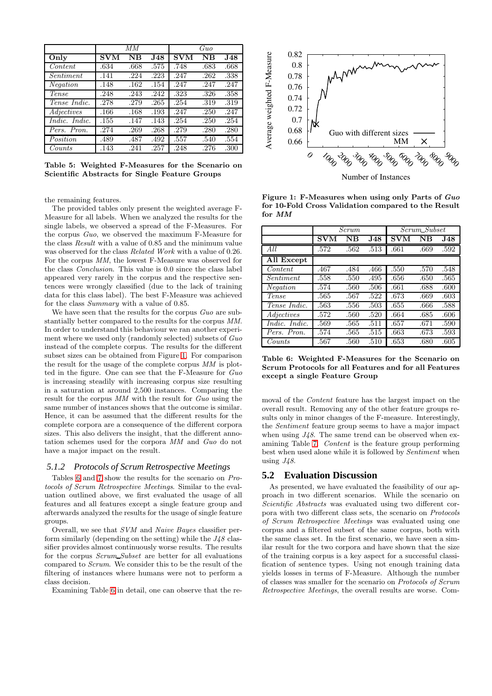|                      |            | MМ          |            |            | Guo  |            |
|----------------------|------------|-------------|------------|------------|------|------------|
| Only                 | <b>SVM</b> | $_{\rm NB}$ | <b>J48</b> | <b>SVM</b> | NB   | <b>J48</b> |
| Content              | .634       | .668        | .575       | .748       | .683 | .668       |
| Sentiment            | .141       | .224        | .223       | .247       | .262 | .338       |
| Negation             | .148       | .162        | .154       | .247       | .247 | .247       |
| Tense                | .248       | .243        | .242       | .323       | .326 | .358       |
| Tense Indic.         | .278       | .279        | .265       | .254       | .319 | .319       |
| Adjectives           | .166       | .168        | .193       | .247       | .250 | .247       |
| <i>Indic. Indic.</i> | .155       | .147        | .143       | .254       | .250 | .254       |
| Pers. Pron.          | .274       | .269        | .268       | .279       | .280 | .280       |
| Position             | .489       | .487        | .492       | .557       | .540 | .554       |
| Counts               | .143       | .241        | .257       | .248       | .276 | .300       |

<span id="page-5-0"></span>Table 5: Weighted F-Measures for the Scenario on Scientific Abstracts for Single Feature Groups

the remaining features.

The provided tables only present the weighted average F-Measure for all labels. When we analyzed the results for the single labels, we observed a spread of the F-Measures. For the corpus *Guo*, we observed the maximum F-Measure for the class *Result* with a value of 0.85 and the minimum value was observed for the class *Related Work* with a value of 0.26. For the corpus *MM*, the lowest F-Measure was observed for the class *Conclusion*. This value is 0.0 since the class label appeared very rarely in the corpus and the respective sentences were wrongly classified (due to the lack of training data for this class label). The best F-Measure was achieved for the class *Summary* with a value of 0.85.

We have seen that the results for the corpus *Guo* are substantially better compared to the results for the corpus *MM*. In order to understand this behaviour we ran another experiment where we used only (randomly selected) subsets of *Guo* instead of the complete corpus. The results for the different subset sizes can be obtained from Figure [1.](#page-5-1) For comparison the result for the usage of the complete corpus *MM* is plotted in the figure. One can see that the F-Measure for *Guo* is increasing steadily with increasing corpus size resulting in a saturation at around 2,500 instances. Comparing the result for the corpus *MM* with the result for *Guo* using the same number of instances shows that the outcome is similar. Hence, it can be assumed that the different results for the complete corpora are a consequence of the different corpora sizes. This also delivers the insight, that the different annotation schemes used for the corpora *MM* and *Guo* do not have a major impact on the result.

#### *5.1.2 Protocols of Scrum Retrospective Meetings*

Tables [6](#page-5-2) and [7](#page-6-10) show the results for the scenario on *Protocols of Scrum Retrospective Meetings*. Similar to the evaluation outlined above, we first evaluated the usage of all features and all features except a single feature group and afterwards analyzed the results for the usage of single feature groups.

Overall, we see that *SVM* and *Naive Bayes* classifier perform similarly (depending on the setting) while the *J48* classifier provides almost continuously worse results. The results for the corpus *Scrum Subset* are better for all evaluations compared to *Scrum*. We consider this to be the result of the filtering of instances where humans were not to perform a class decision.

Examining Table [6](#page-5-2) in detail, one can observe that the re-



<span id="page-5-1"></span>Figure 1: F-Measures when using only Parts of Guo for 10-Fold Cross Validation compared to the Result for MM

|               | <b>Scrum</b> |      |            | $Scrum\_Subset$ |      |      |
|---------------|--------------|------|------------|-----------------|------|------|
|               | <b>SVM</b>   | NB   | <b>J48</b> | <b>SVM</b>      | NR   | J48  |
| All           | .572         | .562 | .513       | .661            | .669 | .592 |
| All Except    |              |      |            |                 |      |      |
| Content       | .467         | .484 | .466       | .550            | .570 | .548 |
| Sentiment     | .558         | .550 | .495       | .656            | .650 | .565 |
| Negation      | .574         | .560 | .506       | .661            | .688 | .600 |
| Tense         | .565         | .567 | .522       | .673            | .669 | .603 |
| Tense Indic.  | .563         | .556 | .503       | .655            | .666 | .588 |
| Adjectives    | .572         | .560 | .520       | .664            | .685 | .606 |
| Indic. Indic. | .569         | .565 | .511       | .657            | .671 | .590 |
| Pers. Pron.   | .574         | .565 | .515       | .663            | .673 | .593 |
| Counts        | .567         | .560 | .510       | .653            | .680 | .605 |

<span id="page-5-2"></span>Table 6: Weighted F-Measures for the Scenario on Scrum Protocols for all Features and for all Features except a single Feature Group

moval of the *Content* feature has the largest impact on the overall result. Removing any of the other feature groups results only in minor changes of the F-measure. Interestingly, the *Sentiment* feature group seems to have a major impact when using *J48*. The same trend can be observed when examining Table [7.](#page-6-10) *Content* is the feature group performing best when used alone while it is followed by *Sentiment* when using *J48*.

#### **5.2 Evaluation Discussion**

As presented, we have evaluated the feasibility of our approach in two different scenarios. While the scenario on *Scientific Abstracts* was evaluated using two different corpora with two different class sets, the scenario on *Protocols of Scrum Retrospective Meetings* was evaluated using one corpus and a filtered subset of the same corpus, both with the same class set. In the first scenario, we have seen a similar result for the two corpora and have shown that the size of the training corpus is a key aspect for a successful classification of sentence types. Using not enough training data yields losses in terms of F-Measure. Although the number of classes was smaller for the scenario on *Protocols of Scrum Retrospective Meetings*, the overall results are worse. Com-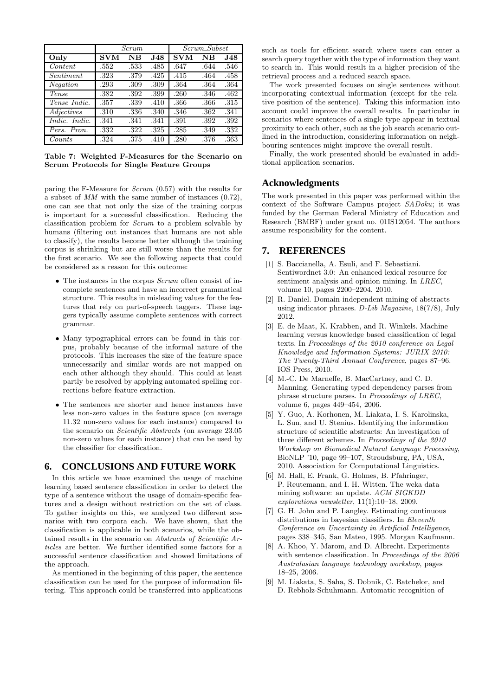|                      | Scrum      |             |            | Scrum_Subset |             |      |
|----------------------|------------|-------------|------------|--------------|-------------|------|
| Only                 | <b>SVM</b> | $_{\rm NB}$ | <b>J48</b> | SVM          | $_{\rm NB}$ | J48  |
| Content              | .552       | .533        | .485       | .647         | .644        | .546 |
| Sentiment            | .323       | .379        | .425       | .415         | .464        | .458 |
| Negation             | .293       | .309        | .309       | .364         | .364        | .364 |
| Tense                | .382       | .392        | .399       | .260         | .346        | .462 |
| Tense Indic.         | .357       | .339        | .410       | .366         | .366        | .315 |
| Adjectives           | .310       | .336        | .340       | .346         | .362        | .341 |
| <i>Indic. Indic.</i> | .341       | .341        | .341       | .391         | .392        | .392 |
| Pers. Pron.          | .332       | .322        | .325       | .285         | .349        | .332 |
| Counts               | .324       | .375        | .410       | .280         | .376        | .363 |

<span id="page-6-10"></span>Table 7: Weighted F-Measures for the Scenario on Scrum Protocols for Single Feature Groups

paring the F-Measure for *Scrum* (0.57) with the results for a subset of *MM* with the same number of instances (0.72), one can see that not only the size of the training corpus is important for a successful classification. Reducing the classification problem for *Scrum* to a problem solvable by humans (filtering out instances that humans are not able to classify), the results become better although the training corpus is shrinking but are still worse than the results for the first scenario. We see the following aspects that could be considered as a reason for this outcome:

- The instances in the corpus *Scrum* often consist of incomplete sentences and have an incorrect grammatical structure. This results in misleading values for the features that rely on part-of-speech taggers. These taggers typically assume complete sentences with correct grammar.
- Many typographical errors can be found in this corpus, probably because of the informal nature of the protocols. This increases the size of the feature space unnecessarily and similar words are not mapped on each other although they should. This could at least partly be resolved by applying automated spelling corrections before feature extraction.
- The sentences are shorter and hence instances have less non-zero values in the feature space (on average 11.32 non-zero values for each instance) compared to the scenario on *Scientific Abstracts* (on average 23.05 non-zero values for each instance) that can be used by the classifier for classification.

#### <span id="page-6-0"></span>**6. CONCLUSIONS AND FUTURE WORK**

In this article we have examined the usage of machine learning based sentence classification in order to detect the type of a sentence without the usage of domain-specific features and a design without restriction on the set of class. To gather insights on this, we analyzed two different scenarios with two corpora each. We have shown, that the classification is applicable in both scenarios, while the obtained results in the scenario on *Abstracts of Scientific Articles* are better. We further identified some factors for a successful sentence classification and showed limitations of the approach.

As mentioned in the beginning of this paper, the sentence classification can be used for the purpose of information filtering. This approach could be transferred into applications

such as tools for efficient search where users can enter a search query together with the type of information they want to search in. This would result in a higher precision of the retrieval process and a reduced search space.

The work presented focuses on single sentences without incorporating contextual information (except for the relative position of the sentence). Taking this information into account could improve the overall results. In particular in scenarios where sentences of a single type appear in textual proximity to each other, such as the job search scenario outlined in the introduction, considering information on neighbouring sentences might improve the overall result.

Finally, the work presented should be evaluated in additional application scenarios.

## **Acknowledgments**

The work presented in this paper was performed within the context of the Software Campus project *SADoku*; it was funded by the German Federal Ministry of Education and Research (BMBF) under grant no. 01IS12054. The authors assume responsibility for the content.

# <span id="page-6-6"></span>**7. REFERENCES**

- [1] S. Baccianella, A. Esuli, and F. Sebastiani. Sentiwordnet 3.0: An enhanced lexical resource for sentiment analysis and opinion mining. In *LREC*, volume 10, pages 2200–2204, 2010.
- <span id="page-6-1"></span>[2] R. Daniel. Domain-independent mining of abstracts using indicator phrases. *D-Lib Magazine*, 18(7/8), July 2012.
- <span id="page-6-5"></span>[3] E. de Maat, K. Krabben, and R. Winkels. Machine learning versus knowledge based classification of legal texts. In *Proceedings of the 2010 conference on Legal Knowledge and Information Systems: JURIX 2010: The Twenty-Third Annual Conference*, pages 87–96. IOS Press, 2010.
- <span id="page-6-7"></span>[4] M.-C. De Marneffe, B. MacCartney, and C. D. Manning. Generating typed dependency parses from phrase structure parses. In *Proceedings of LREC*, volume 6, pages 449–454, 2006.
- <span id="page-6-2"></span>[5] Y. Guo, A. Korhonen, M. Liakata, I. S. Karolinska, L. Sun, and U. Stenius. Identifying the information structure of scientific abstracts: An investigation of three different schemes. In *Proceedings of the 2010 Workshop on Biomedical Natural Language Processing*, BioNLP '10, page 99–107, Stroudsburg, PA, USA, 2010. Association for Computational Linguistics.
- <span id="page-6-8"></span>[6] M. Hall, E. Frank, G. Holmes, B. Pfahringer, P. Reutemann, and I. H. Witten. The weka data mining software: an update. *ACM SIGKDD explorations newsletter*, 11(1):10–18, 2009.
- <span id="page-6-9"></span>[7] G. H. John and P. Langley. Estimating continuous distributions in bayesian classifiers. In *Eleventh Conference on Uncertainty in Artificial Intelligence*, pages 338–345, San Mateo, 1995. Morgan Kaufmann.
- <span id="page-6-4"></span>[8] A. Khoo, Y. Marom, and D. Albrecht. Experiments with sentence classification. In *Proceedings of the 2006 Australasian language technology workshop*, pages 18–25, 2006.
- <span id="page-6-3"></span>[9] M. Liakata, S. Saha, S. Dobnik, C. Batchelor, and D. Rebholz-Schuhmann. Automatic recognition of